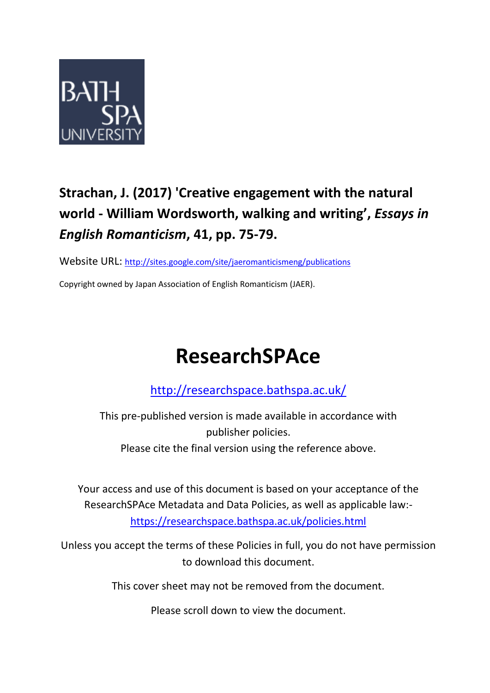

## **Strachan, J. (2017) 'Creative engagement with the natural world - William Wordsworth, walking and writing' ,** *Essays in English Romanticism***, 41, pp. 75-79.**

Website URL: [http://sites.google.com/site/jaeromanticismeng/publications](https://sites.google.com/site/jaeromanticismeng/publications)

Copyright owned by Japan Association of English Romanticism (JAER).

## **ResearchSPAce**

<http://researchspace.bathspa.ac.uk/>

This pre-published version is made available in accordance with publisher policies. Please cite the final version using the reference above.

Your access and use of this document is based on your acceptance of the ResearchSPAce Metadata and Data Policies, as well as applicable law: https://researchspace.bathspa.ac.uk/policies.html

Unless you accept the terms of these Policies in full, you do not have permission to download this document.

This cover sheet may not be removed from the document.

Please scroll down to view the document.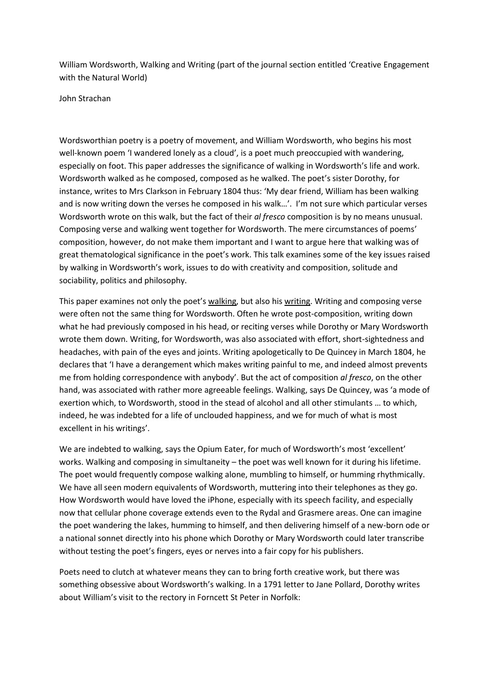William Wordsworth, Walking and Writing (part of the journal section entitled 'Creative Engagement with the Natural World)

John Strachan

Wordsworthian poetry is a poetry of movement, and William Wordsworth, who begins his most well-known poem 'I wandered lonely as a cloud', is a poet much preoccupied with wandering, especially on foot. This paper addresses the significance of walking in Wordsworth's life and work. Wordsworth walked as he composed, composed as he walked. The poet's sister Dorothy, for instance, writes to Mrs Clarkson in February 1804 thus: 'My dear friend, William has been walking and is now writing down the verses he composed in his walk…'. I'm not sure which particular verses Wordsworth wrote on this walk, but the fact of their *al fresco* composition is by no means unusual. Composing verse and walking went together for Wordsworth. The mere circumstances of poems' composition, however, do not make them important and I want to argue here that walking was of great thematological significance in the poet's work. This talk examines some of the key issues raised by walking in Wordsworth's work, issues to do with creativity and composition, solitude and sociability, politics and philosophy.

This paper examines not only the poet's walking, but also his writing. Writing and composing verse were often not the same thing for Wordsworth. Often he wrote post-composition, writing down what he had previously composed in his head, or reciting verses while Dorothy or Mary Wordsworth wrote them down. Writing, for Wordsworth, was also associated with effort, short-sightedness and headaches, with pain of the eyes and joints. Writing apologetically to De Quincey in March 1804, he declares that 'I have a derangement which makes writing painful to me, and indeed almost prevents me from holding correspondence with anybody'. But the act of composition *al fresco*, on the other hand, was associated with rather more agreeable feelings. Walking, says De Quincey, was 'a mode of exertion which, to Wordsworth, stood in the stead of alcohol and all other stimulants … to which, indeed, he was indebted for a life of unclouded happiness, and we for much of what is most excellent in his writings'.

We are indebted to walking, says the Opium Eater, for much of Wordsworth's most 'excellent' works. Walking and composing in simultaneity – the poet was well known for it during his lifetime. The poet would frequently compose walking alone, mumbling to himself, or humming rhythmically. We have all seen modern equivalents of Wordsworth, muttering into their telephones as they go. How Wordsworth would have loved the iPhone, especially with its speech facility, and especially now that cellular phone coverage extends even to the Rydal and Grasmere areas. One can imagine the poet wandering the lakes, humming to himself, and then delivering himself of a new-born ode or a national sonnet directly into his phone which Dorothy or Mary Wordsworth could later transcribe without testing the poet's fingers, eyes or nerves into a fair copy for his publishers.

Poets need to clutch at whatever means they can to bring forth creative work, but there was something obsessive about Wordsworth's walking. In a 1791 letter to Jane Pollard, Dorothy writes about William's visit to the rectory in Forncett St Peter in Norfolk: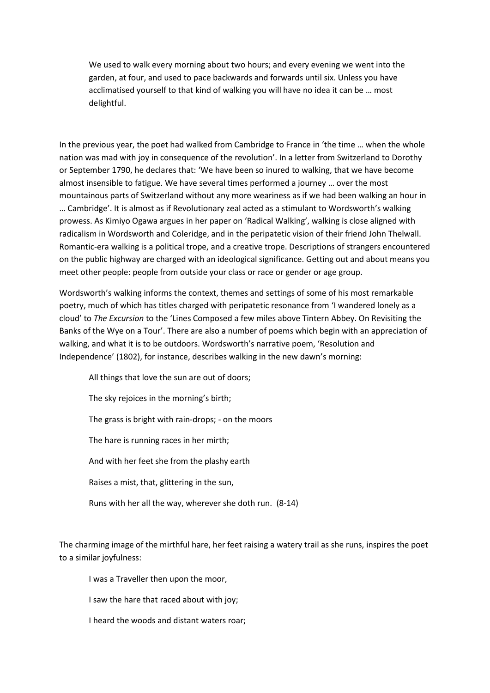We used to walk every morning about two hours; and every evening we went into the garden, at four, and used to pace backwards and forwards until six. Unless you have acclimatised yourself to that kind of walking you will have no idea it can be … most delightful.

In the previous year, the poet had walked from Cambridge to France in 'the time … when the whole nation was mad with joy in consequence of the revolution'. In a letter from Switzerland to Dorothy or September 1790, he declares that: 'We have been so inured to walking, that we have become almost insensible to fatigue. We have several times performed a journey … over the most mountainous parts of Switzerland without any more weariness as if we had been walking an hour in … Cambridge'. It is almost as if Revolutionary zeal acted as a stimulant to Wordsworth's walking prowess. As Kimiyo Ogawa argues in her paper on 'Radical Walking', walking is close aligned with radicalism in Wordsworth and Coleridge, and in the peripatetic vision of their friend John Thelwall. Romantic-era walking is a political trope, and a creative trope. Descriptions of strangers encountered on the public highway are charged with an ideological significance. Getting out and about means you meet other people: people from outside your class or race or gender or age group.

Wordsworth's walking informs the context, themes and settings of some of his most remarkable poetry, much of which has titles charged with peripatetic resonance from 'I wandered lonely as a cloud' to *The Excursion* to the 'Lines Composed a few miles above Tintern Abbey. On Revisiting the Banks of the Wye on a Tour'. There are also a number of poems which begin with an appreciation of walking, and what it is to be outdoors. Wordsworth's narrative poem, 'Resolution and Independence' (1802), for instance, describes walking in the new dawn's morning:

All things that love the sun are out of doors;

The sky rejoices in the morning's birth;

The grass is bright with rain-drops; - on the moors

The hare is running races in her mirth;

And with her feet she from the plashy earth

Raises a mist, that, glittering in the sun,

Runs with her all the way, wherever she doth run. (8-14)

The charming image of the mirthful hare, her feet raising a watery trail as she runs, inspires the poet to a similar joyfulness:

I was a Traveller then upon the moor,

I saw the hare that raced about with joy;

I heard the woods and distant waters roar;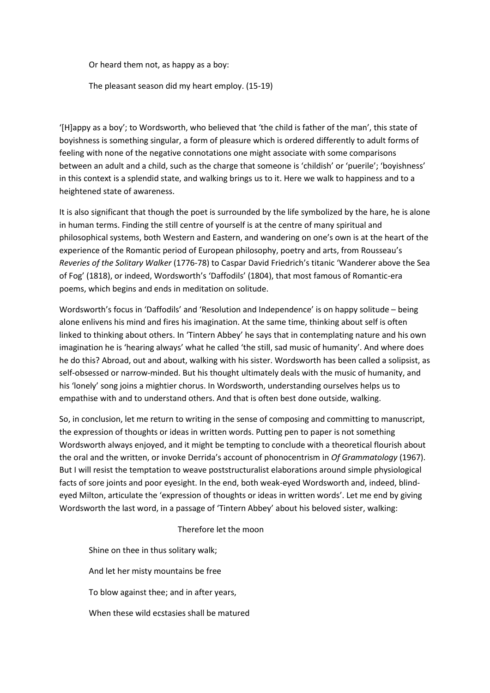Or heard them not, as happy as a boy:

The pleasant season did my heart employ. (15-19)

'[H]appy as a boy'; to Wordsworth, who believed that 'the child is father of the man', this state of boyishness is something singular, a form of pleasure which is ordered differently to adult forms of feeling with none of the negative connotations one might associate with some comparisons between an adult and a child, such as the charge that someone is 'childish' or 'puerile'; 'boyishness' in this context is a splendid state, and walking brings us to it. Here we walk to happiness and to a heightened state of awareness.

It is also significant that though the poet is surrounded by the life symbolized by the hare, he is alone in human terms. Finding the still centre of yourself is at the centre of many spiritual and philosophical systems, both Western and Eastern, and wandering on one's own is at the heart of the experience of the Romantic period of European philosophy, poetry and arts, from Rousseau's *Reveries of the Solitary Walker* (1776-78) to Caspar David Friedrich's titanic 'Wanderer above the Sea of Fog' (1818), or indeed, Wordsworth's 'Daffodils' (1804), that most famous of Romantic-era poems, which begins and ends in meditation on solitude.

Wordsworth's focus in 'Daffodils' and 'Resolution and Independence' is on happy solitude – being alone enlivens his mind and fires his imagination. At the same time, thinking about self is often linked to thinking about others. In 'Tintern Abbey' he says that in contemplating nature and his own imagination he is 'hearing always' what he called 'the still, sad music of humanity'. And where does he do this? Abroad, out and about, walking with his sister. Wordsworth has been called a solipsist, as self-obsessed or narrow-minded. But his thought ultimately deals with the music of humanity, and his 'lonely' song joins a mightier chorus. In Wordsworth, understanding ourselves helps us to empathise with and to understand others. And that is often best done outside, walking.

So, in conclusion, let me return to writing in the sense of composing and committing to manuscript, the expression of thoughts or ideas in written words. Putting pen to paper is not something Wordsworth always enjoyed, and it might be tempting to conclude with a theoretical flourish about the oral and the written, or invoke Derrida's account of phonocentrism in *Of Grammatology* (1967). But I will resist the temptation to weave poststructuralist elaborations around simple physiological facts of sore joints and poor eyesight. In the end, both weak-eyed Wordsworth and, indeed, blindeyed Milton, articulate the 'expression of thoughts or ideas in written words'. Let me end by giving Wordsworth the last word, in a passage of 'Tintern Abbey' about his beloved sister, walking:

Therefore let the moon

Shine on thee in thus solitary walk; And let her misty mountains be free To blow against thee; and in after years, When these wild ecstasies shall be matured